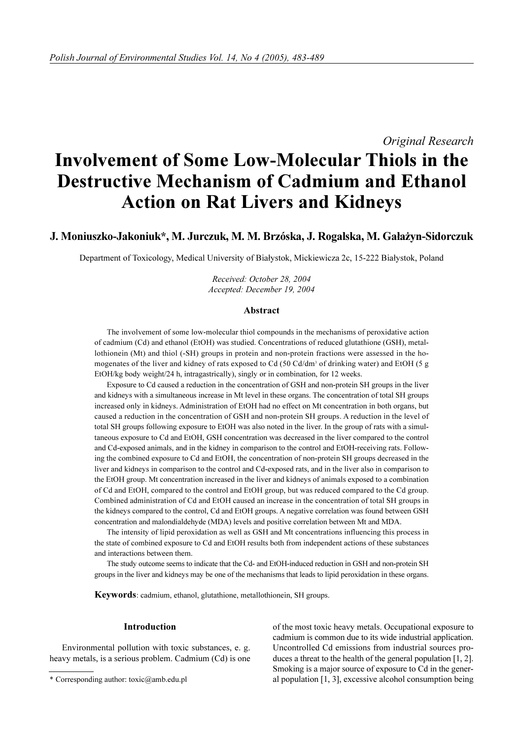Original Research

# Involvement of Some Low-Molecular Thiols in the Destructive Mechanism of Cadmium and Ethanol Action on Rat Livers and Kidneys

## J. Moniuszko-Jakoniuk\*, M. Jurczuk, M. M. Brzóska, J. Rogalska, M. Gałażyn-Sidorczuk

Department of Toxicology, Medical University of Białystok, Mickiewicza 2c, 15-222 Białystok, Poland

Received: October 28, 2004 Accepted: December 19, 2004

## Abstract

The involvement of some low-molecular thiol compounds in the mechanisms of peroxidative action of cadmium (Cd) and ethanol (EtOH) was studied. Concentrations of reduced glutathione (GSH), metallothionein (Mt) and thiol (-SH) groups in protein and non-protein fractions were assessed in the homogenates of the liver and kidney of rats exposed to Cd  $(50 \text{ Cd/dm}^3 \text{ of drinking water})$  and EtOH  $(5 \text{ g})$ EtOH/kg body weight/24 h, intragastrically), singly or in combination, for 12 weeks.

Exposure to Cd caused a reduction in the concentration of GSH and non-protein SH groups in the liver and kidneys with a simultaneous increase in Mt level in these organs. The concentration of total SH groups increased only in kidneys. Administration of EtOH had no effect on Mt concentration in both organs, but caused a reduction in the concentration of GSH and non-protein SH groups. A reduction in the level of total SH groups following exposure to EtOH was also noted in the liver. In the group of rats with a simultaneous exposure to Cd and EtOH, GSH concentration was decreased in the liver compared to the control and Cd-exposed animals, and in the kidney in comparison to the control and EtOH-receiving rats. Following the combined exposure to Cd and EtOH, the concentration of non-protein SH groups decreased in the liver and kidneys in comparison to the control and Cd-exposed rats, and in the liver also in comparison to the EtOH group. Mt concentration increased in the liver and kidneys of animals exposed to a combination of Cd and EtOH, compared to the control and EtOH group, but was reduced compared to the Cd group. Combined administration of Cd and EtOH caused an increase in the concentration of total SH groups in the kidneys compared to the control, Cd and EtOH groups. A negative correlation was found between GSH concentration and malondialdehyde (MDA) levels and positive correlation between Mt and MDA.

The intensity of lipid peroxidation as well as GSH and Mt concentrations influencing this process in the state of combined exposure to Cd and EtOH results both from independent actions of these substances and interactions between them.

The study outcome seems to indicate that the Cd- and EtOH-induced reduction in GSH and non-protein SH groups in the liver and kidneys may be one of the mechanisms that leads to lipid peroxidation in these organs.

Keywords: cadmium, ethanol, glutathione, metallothionein, SH groups.

## Introduction

Environmental pollution with toxic substances, e. g. heavy metals, is a serious problem. Cadmium (Cd) is one of the most toxic heavy metals. Occupational exposure to cadmium is common due to its wide industrial application. Uncontrolled Cd emissions from industrial sources produces a threat to the health of the general population [1, 2]. Smoking is a major source of exposure to Cd in the general population [1, 3], excessive alcohol consumption being

<sup>\*</sup> Corresponding author: toxic@amb.edu.pl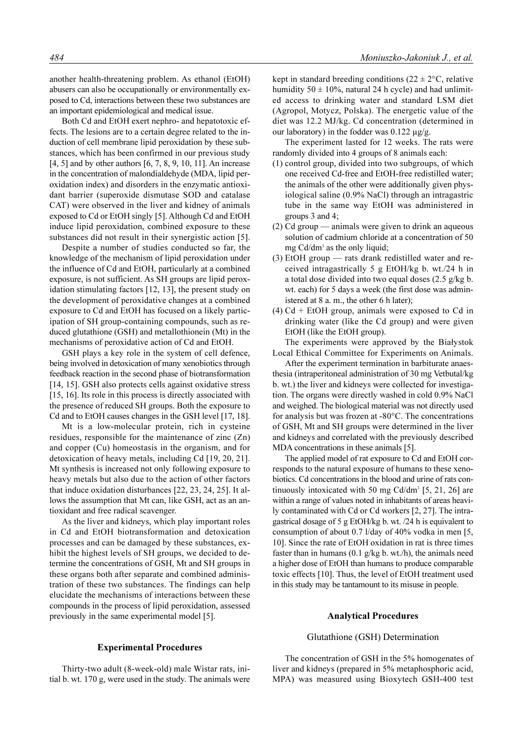another health-threatening problem. As ethanol (EtOH) abusers can also be occupationally or environmentally exposed to Cd, interactions between these two substances are an important epidemiological and medical issue.

Both Cd and EtOH exert nephro- and hepatotoxic effects. The lesions are to a certain degree related to the induction of cell membrane lipid peroxidation by these substances, which has been confirmed in our previous study [4, 5] and by other authors [6, 7, 8, 9, 10, 11]. An increase in the concentration of malondialdehyde (MDA, lipid peroxidation index) and disorders in the enzymatic antioxidant barrier (superoxide dismutase SOD and catalase CAT) were observed in the liver and kidney of animals exposed to Cd or EtOH singly [5]. Although Cd and EtOH induce lipid peroxidation, combined exposure to these substances did not result in their synergistic action [5].

Despite a number of studies conducted so far, the knowledge of the mechanism of lipid peroxidation under the influence of Cd and EtOH, particularly at a combined exposure, is not sufficient. As SH groups are lipid peroxidation stimulating factors [12, 13], the present study on the development of peroxidative changes at a combined exposure to Cd and EtOH has focused on a likely participation of SH group-containing compounds, such as reduced glutathione (GSH) and metallothionein (Mt) in the mechanisms of peroxidative action of Cd and EtOH.

GSH plays a key role in the system of cell defence, being involved in detoxication of many xenobiotics through feedback reaction in the second phase of biotransformation [14, 15]. GSH also protects cells against oxidative stress [15, 16]. Its role in this process is directly associated with the presence of reduced SH groups. Both the exposure to Cd and to EtOH causes changes in the GSH level [17, 18].

Mt is a low-molecular protein, rich in cysteine residues, responsible for the maintenance of zinc (Zn) and copper (Cu) homeostasis in the organism, and for detoxication of heavy metals, including Cd [19, 20, 21]. Mt synthesis is increased not only following exposure to heavy metals but also due to the action of other factors that induce oxidation disturbances [22, 23, 24, 25]. It allows the assumption that Mt can, like GSH, act as an antioxidant and free radical scavenger.

As the liver and kidneys, which play important roles in Cd and EtOH biotransformation and detoxication processes and can be damaged by these substances, exhibit the highest levels of SH groups, we decided to determine the concentrations of GSH, Mt and SH groups in these organs both after separate and combined administration of these two substances. The findings can help elucidate the mechanisms of interactions between these compounds in the process of lipid peroxidation, assessed previously in the same experimental model [5].

## Experimental Procedures

Thirty-two adult (8-week-old) male Wistar rats, initial b. wt. 170 g, were used in the study. The animals were kept in standard breeding conditions ( $22 \pm 2$ °C, relative humidity  $50 \pm 10\%$ , natural 24 h cycle) and had unlimited access to drinking water and standard LSM diet (Agropol, Motycz, Polska). The energetic value of the diet was 12.2 MJ/kg. Cd concentration (determined in our laboratory) in the fodder was 0.122 μg/g.

The experiment lasted for 12 weeks. The rats were randomly divided into 4 groups of 8 animals each:

- (1) control group, divided into two subgroups, of which one received Cd-free and EtOH-free redistilled water; the animals of the other were additionally given physiological saline (0.9% NaCl) through an intragastric tube in the same way EtOH was administered in groups 3 and 4;
- (2) Cd group animals were given to drink an aqueous solution of cadmium chloride at a concentration of 50 mg Cd/dm<sup>3</sup> as the only liquid;
- (3) EtOH group rats drank redistilled water and received intragastrically 5 g EtOH/kg b. wt./24 h in a total dose divided into two equal doses (2.5 g/kg b. wt. each) for 5 days a week (the first dose was administered at 8 a. m., the other 6 h later);
- (4) Cd + EtOH group, animals were exposed to Cd in drinking water (like the Cd group) and were given EtOH (like the EtOH group).

The experiments were approved by the Białystok Local Ethical Committee for Experiments on Animals.

After the experiment termination in barbiturate anaesthesia (intraperitoneal administration of 30 mg Vetbutal/kg b. wt.) the liver and kidneys were collected for investigation. The organs were directly washed in cold 0.9% NaCl and weighed. The biological material was not directly used for analysis but was frozen at -80°C. The concentrations of GSH, Mt and SH groups were determined in the liver and kidneys and correlated with the previously described MDA concentrations in these animals [5].

The applied model of rat exposure to Cd and EtOH corresponds to the natural exposure of humans to these xenobiotics. Cd concentrations in the blood and urine of rats continuously intoxicated with 50 mg Cd/dm<sup>3</sup> [5, 21, 26] are within a range of values noted in inhabitants of areas heavily contaminated with Cd or Cd workers [2, 27]. The intragastrical dosage of 5 g EtOH/kg b. wt. /24 h is equivalent to consumption of about 0.7 l/day of 40% vodka in men [5, 10]. Since the rate of EtOH oxidation in rat is three times faster than in humans  $(0.1 \text{ g/kg b. wt./h})$ , the animals need a higher dose of EtOH than humans to produce comparable toxic effects [10]. Thus, the level of EtOH treatment used in this study may be tantamount to its misuse in people.

### Analytical Procedures

## Glutathione (GSH) Determination

The concentration of GSH in the 5% homogenates of liver and kidneys (prepared in 5% metaphosphoric acid, MPA) was measured using Bioxytech GSH-400 test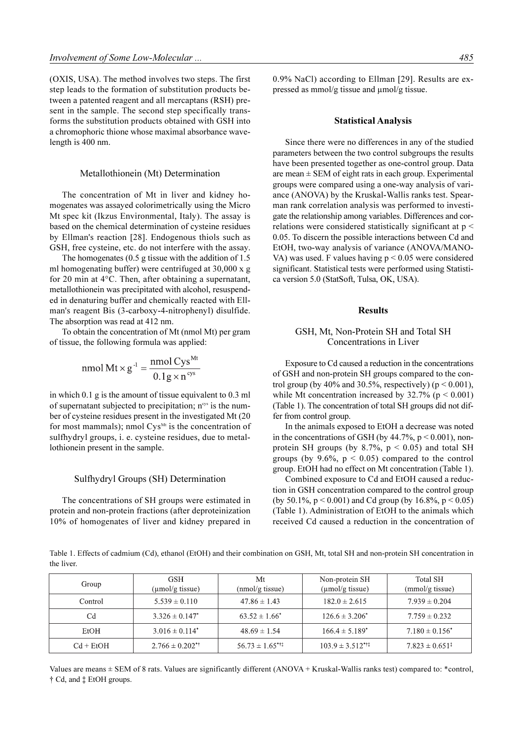(OXIS, USA). The method involves two steps. The first step leads to the formation of substitution products between a patented reagent and all mercaptans (RSH) present in the sample. The second step specifically transforms the substitution products obtained with GSH into a chromophoric thione whose maximal absorbance wavelength is 400 nm.

#### Metallothionein (Mt) Determination

The concentration of Mt in liver and kidney homogenates was assayed colorimetrically using the Micro Mt spec kit (Ikzus Environmental, Italy). The assay is based on the chemical determination of cysteine residues by Ellman's reaction [28]. Endogenous thiols such as GSH, free cysteine, etc. do not interfere with the assay.

The homogenates (0.5 g tissue with the addition of 1.5 ml homogenating buffer) were centrifuged at 30,000 x g for 20 min at 4°C. Then, after obtaining a supernatant, metallothionein was precipitated with alcohol, resuspended in denaturing buffer and chemically reacted with Ellman's reagent Bis (3-carboxy-4-nitrophenyl) disulfide. The absorption was read at 412 nm.

To obtain the concentration of Mt (nmol Mt) per gram of tissue, the following formula was applied:

nmol Mt × g<sup>-1</sup> = 
$$
\frac{\text{nmol Cys}^{\text{Mt}}}{0.1 \text{g} \times \text{n}^{\text{cys}}}
$$

in which 0.1 g is the amount of tissue equivalent to 0.3 ml of supernatant subjected to precipitation;  $n<sup>cys</sup>$  is the number of cysteine residues present in the investigated Mt (20 for most mammals); nmol  $Cys^{Mt}$  is the concentration of sulfhydryl groups, i. e. cysteine residues, due to metallothionein present in the sample.

#### Sulfhydryl Groups (SH) Determination

The concentrations of SH groups were estimated in protein and non-protein fractions (after deproteinization 10% of homogenates of liver and kidney prepared in

0.9% NaCl) according to Ellman [29]. Results are expressed as mmol/g tissue and μmol/g tissue.

## Statistical Analysis

Since there were no differences in any of the studied parameters between the two control subgroups the results have been presented together as one-control group. Data are mean  $\pm$  SEM of eight rats in each group. Experimental groups were compared using a one-way analysis of variance (ANOVA) by the Kruskal-Wallis ranks test. Spearman rank correlation analysis was performed to investigate the relationship among variables. Differences and correlations were considered statistically significant at p < 0.05. To discern the possible interactions between Cd and EtOH, two-way analysis of variance (ANOVA/MANO-VA) was used. F values having  $p \le 0.05$  were considered significant. Statistical tests were performed using Statistica version 5.0 (StatSoft, Tulsa, OK, USA).

## Results

## GSH, Mt, Non-Protein SH and Total SH Concentrations in Liver

Exposure to Cd caused a reduction in the concentrations of GSH and non-protein SH groups compared to the control group (by 40% and 30.5%, respectively) ( $p < 0.001$ ), while Mt concentration increased by  $32.7\%$  (p < 0.001) (Table 1). The concentration of total SH groups did not differ from control group.

In the animals exposed to EtOH a decrease was noted in the concentrations of GSH (by  $44.7\%$ ,  $p < 0.001$ ), nonprotein SH groups (by  $8.7\%$ ,  $p < 0.05$ ) and total SH groups (by  $9.6\%$ ,  $p < 0.05$ ) compared to the control group. EtOH had no effect on Mt concentration (Table 1).

Combined exposure to Cd and EtOH caused a reduction in GSH concentration compared to the control group (by 50.1%,  $p < 0.001$ ) and Cd group (by 16.8%,  $p < 0.05$ ) (Table 1). Administration of EtOH to the animals which received Cd caused a reduction in the concentration of

Table 1. Effects of cadmium (Cd), ethanol (EtOH) and their combination on GSH, Mt, total SH and non-protein SH concentration in the liver.

| Group          | <b>GSH</b><br>$\mu$ mol/g tissue) | Mt<br>(mmol/gtissue)            | Non-protein SH<br>$\mu$ mol/g tissue) | Total SH<br>(mmol/g tissue)  |
|----------------|-----------------------------------|---------------------------------|---------------------------------------|------------------------------|
| Control        | $5.539 \pm 0.110$                 | $47.86 \pm 1.43$                | $182.0 \pm 2.615$                     | $7.939 \pm 0.204$            |
| C <sub>d</sub> | $3.326 \pm 0.147^*$               | $63.52 \pm 1.66^*$              | $126.6 \pm 3.206^*$                   | $7.759 \pm 0.232$            |
| <b>EtOH</b>    | $3.016 \pm 0.114$ <sup>*</sup>    | $48.69 \pm 1.54$                | $166.4 \pm 5.189^*$                   | $7.180 \pm 0.156^*$          |
| $Cd + EtOH$    | $2.766 \pm 0.202$ <sup>*</sup>    | $56.73 \pm 1.65$ <sup>***</sup> | $103.9 \pm 3.512$ <sup>***</sup>      | $7.823 \pm 0.651^{\ddagger}$ |

Values are means ± SEM of 8 rats. Values are significantly different (ANOVA + Kruskal-Wallis ranks test) compared to: \*control, † Cd, and ‡ EtOH groups.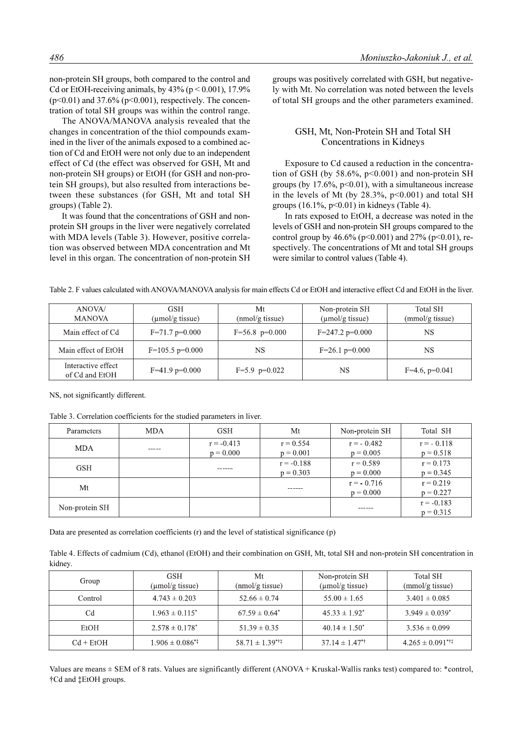non-protein SH groups, both compared to the control and Cd or EtOH-receiving animals, by  $43\%$  (p < 0.001), 17.9%  $(p<0.01)$  and 37.6%  $(p<0.001)$ , respectively. The concentration of total SH groups was within the control range.

The ANOVA/MANOVA analysis revealed that the changes in concentration of the thiol compounds examined in the liver of the animals exposed to a combined action of Cd and EtOH were not only due to an independent effect of Cd (the effect was observed for GSH, Mt and non-protein SH groups) or EtOH (for GSH and non-protein SH groups), but also resulted from interactions between these substances (for GSH, Mt and total SH groups) (Table 2).

It was found that the concentrations of GSH and nonprotein SH groups in the liver were negatively correlated with MDA levels (Table 3). However, positive correlation was observed between MDA concentration and Mt level in this organ. The concentration of non-protein SH groups was positively correlated with GSH, but negatively with Mt. No correlation was noted between the levels of total SH groups and the other parameters examined.

## GSH, Mt, Non-Protein SH and Total SH Concentrations in Kidneys

Exposure to Cd caused a reduction in the concentration of GSH (by 58.6%,  $p<0.001$ ) and non-protein SH groups (by  $17.6\%$ ,  $p<0.01$ ), with a simultaneous increase in the levels of Mt (by  $28.3\%$ ,  $p<0.001$ ) and total SH groups (16.1%, p<0.01) in kidneys (Table 4).

In rats exposed to EtOH, a decrease was noted in the levels of GSH and non-protein SH groups compared to the control group by 46.6% ( $p$ <0.001) and 27% ( $p$ <0.01), respectively. The concentrations of Mt and total SH groups were similar to control values (Table 4).

| ANOVA/<br><b>MANOVA</b>              | <b>GSH</b><br>(umol/g tissue) | Mt<br>(mmol/gtissue) | Non-protein SH<br>(umol/g tissue) | <b>Total SH</b><br>(mmol/g tissue) |
|--------------------------------------|-------------------------------|----------------------|-----------------------------------|------------------------------------|
| Main effect of Cd                    | $F=71.7$ p=0.000              | $F=56.8$ p=0.000     | $F=247.2$ p=0.000                 | NS                                 |
| Main effect of EtOH                  | $F=105.5$ p=0.000             | NS                   | $F=26.1 p=0.000$                  | NS                                 |
| Interactive effect<br>of Cd and EtOH | $F=41.9 p=0.000$              | $F=5.9$ p=0.022      | NS                                | $F=4.6$ , $p=0.041$                |

Table 2. F values calculated with ANOVA/MANOVA analysis for main effects Cd or EtOH and interactive effect Cd and EtOH in the liver.

#### NS, not significantly different.

|  | Table 3. Correlation coefficients for the studied parameters in liver. |  |  |  |
|--|------------------------------------------------------------------------|--|--|--|
|  |                                                                        |  |  |  |

| Parameters     | <b>MDA</b> | <b>GSH</b>                  | Mt                          | Non-protein SH              | Total SH                    |
|----------------|------------|-----------------------------|-----------------------------|-----------------------------|-----------------------------|
| <b>MDA</b>     | -----      | $r = -0.413$<br>$p = 0.000$ | $r = 0.554$<br>$p = 0.001$  | $r = -0.482$<br>$p = 0.005$ | $r = -0.118$<br>$p = 0.518$ |
| <b>GSH</b>     |            |                             | $r = -0.188$<br>$p = 0.303$ | $r = 0.589$<br>$p = 0.000$  | $r = 0.173$<br>$p = 0.345$  |
| Mt             |            |                             |                             | $r = -0.716$<br>$p = 0.000$ | $r = 0.219$<br>$p = 0.227$  |
| Non-protein SH |            |                             |                             |                             | $r = -0.183$<br>$p = 0.315$ |

Data are presented as correlation coefficients (r) and the level of statistical significance (p)

Table 4. Effects of cadmium (Cd), ethanol (EtOH) and their combination on GSH, Mt, total SH and non-protein SH concentration in kidney.

| Group       | <b>GSH</b>                     | Mt                              | Non-protein SH                 | <b>Total SH</b>                  |
|-------------|--------------------------------|---------------------------------|--------------------------------|----------------------------------|
|             | $\mu$ mol/g tissue)            | (nmol/g tissue)                 | (µmol/g tissue)                | (mmol/g tissue)                  |
| Control     | $4.743 \pm 0.203$              | $52.66 \pm 0.74$                | $55.00 \pm 1.65$               | $3.401 \pm 0.085$                |
| Cd          | $1.963 \pm 0.115$ <sup>*</sup> | $67.59 \pm 0.64^*$              | $45.33 \pm 1.92^*$             | $3.949 \pm 0.039$ <sup>*</sup>   |
| <b>EtOH</b> | $2.578 \pm 0.178$ <sup>*</sup> | $51.39 \pm 0.35$                | $40.14 \pm 1.50^*$             | $3.536 \pm 0.099$                |
| $Cd + EtOH$ | $1.906 \pm 0.086$ <sup>*</sup> | $58.71 \pm 1.39$ <sup>***</sup> | $37.14 \pm 1.47$ <sup>**</sup> | $4.265 \pm 0.091$ <sup>*††</sup> |

Values are means ± SEM of 8 rats. Values are significantly different (ANOVA + Kruskal-Wallis ranks test) compared to: \*control, †Cd and ‡EtOH groups.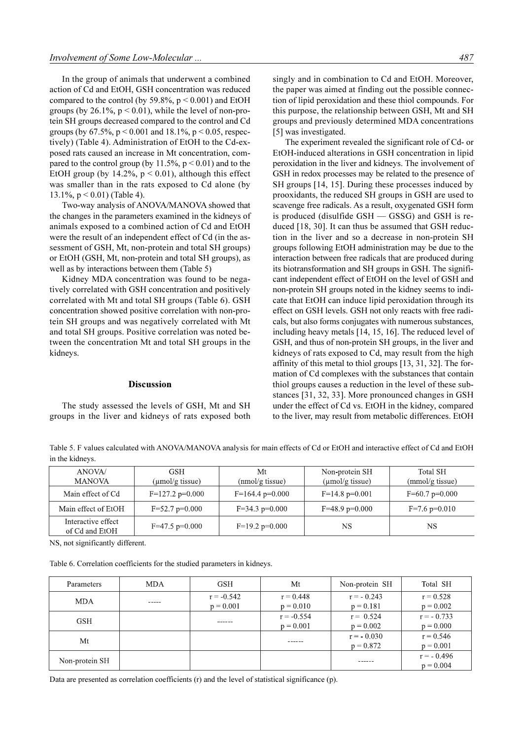In the group of animals that underwent a combined action of Cd and EtOH, GSH concentration was reduced compared to the control (by 59.8%,  $p < 0.001$ ) and EtOH groups (by 26.1%,  $p < 0.01$ ), while the level of non-protein SH groups decreased compared to the control and Cd groups (by 67.5%,  $p < 0.001$  and 18.1%,  $p < 0.05$ , respectively) (Table 4). Administration of EtOH to the Cd-exposed rats caused an increase in Mt concentration, compared to the control group (by 11.5%,  $p < 0.01$ ) and to the EtOH group (by 14.2%,  $p < 0.01$ ), although this effect was smaller than in the rats exposed to Cd alone (by 13.1%, p < 0.01) (Table 4).

Two-way analysis of ANOVA/MANOVA showed that the changes in the parameters examined in the kidneys of animals exposed to a combined action of Cd and EtOH were the result of an independent effect of Cd (in the assessment of GSH, Mt, non-protein and total SH groups) or EtOH (GSH, Mt, non-protein and total SH groups), as well as by interactions between them (Table 5)

Kidney MDA concentration was found to be negatively correlated with GSH concentration and positively correlated with Mt and total SH groups (Table 6). GSH concentration showed positive correlation with non-protein SH groups and was negatively correlated with Mt and total SH groups. Positive correlation was noted between the concentration Mt and total SH groups in the kidneys.

## Discussion

The study assessed the levels of GSH, Mt and SH groups in the liver and kidneys of rats exposed both

The experiment revealed the significant role of Cd- or EtOH-induced alterations in GSH concentration in lipid peroxidation in the liver and kidneys. The involvement of GSH in redox processes may be related to the presence of SH groups [14, 15]. During these processes induced by prooxidants, the reduced SH groups in GSH are used to scavenge free radicals. As a result, oxygenated GSH form is produced (disulfide GSH — GSSG) and GSH is reduced [18, 30]. It can thus be assumed that GSH reduction in the liver and so a decrease in non-protein SH groups following EtOH administration may be due to the interaction between free radicals that are produced during its biotransformation and SH groups in GSH. The significant independent effect of EtOH on the level of GSH and non-protein SH groups noted in the kidney seems to indicate that EtOH can induce lipid peroxidation through its effect on GSH levels. GSH not only reacts with free radicals, but also forms conjugates with numerous substances, including heavy metals [14, 15, 16]. The reduced level of GSH, and thus of non-protein SH groups, in the liver and kidneys of rats exposed to Cd, may result from the high affinity of this metal to thiol groups [13, 31, 32]. The formation of Cd complexes with the substances that contain thiol groups causes a reduction in the level of these substances [31, 32, 33]. More pronounced changes in GSH under the effect of Cd vs. EtOH in the kidney, compared to the liver, may result from metabolic differences. EtOH

Table 5. F values calculated with ANOVA/MANOVA analysis for main effects of Cd or EtOH and interactive effect of Cd and EtOH in the kidneys.

| ANOVA/<br>MANOVA                     | GSH<br>$\mu$ mol/g tissue) | Mt<br>(mmol/gtissue)     | Non-protein SH<br>$(\mu \text{mol/g tissue})$ | <b>Total SH</b><br>(mmol/g tissue) |
|--------------------------------------|----------------------------|--------------------------|-----------------------------------------------|------------------------------------|
| Main effect of Cd                    | $F=127.2$ p=0.000          | $F=164.4 p=0.000$        | $F=14.8 \text{ p}=0.001$                      | $F=60.7$ p=0.000                   |
| Main effect of EtOH                  | $F=52.7$ p=0.000           | $F=34.3 \text{ p}=0.000$ | $F=48.9 p=0.000$                              | $F=7.6 \text{ p}=0.010$            |
| Interactive effect<br>of Cd and EtOH | $F=47.5$ p=0.000           | $F=19.2$ p=0.000         | NS                                            | NS                                 |

NS, not significantly different.

Table 6. Correlation coefficients for the studied parameters in kidneys.

| Parameters     | <b>MDA</b> | <b>GSH</b>                  | Mt                          | Non-protein SH              | Total SH                    |
|----------------|------------|-----------------------------|-----------------------------|-----------------------------|-----------------------------|
| <b>MDA</b>     |            | $r = -0.542$<br>$p = 0.001$ | $r = 0.448$<br>$p = 0.010$  | $r = -0.243$<br>$p = 0.181$ | $r = 0.528$<br>$p = 0.002$  |
| <b>GSH</b>     |            |                             | $r = -0.554$<br>$p = 0.001$ | $r = 0.524$<br>$p = 0.002$  | $r = -0.733$<br>$p = 0.000$ |
| Mt             |            |                             |                             | $r = -0.030$<br>$p = 0.872$ | $r = 0.546$<br>$p = 0.001$  |
| Non-protein SH |            |                             |                             |                             | $r = -0.496$<br>$p = 0.004$ |

Data are presented as correlation coefficients (r) and the level of statistical significance (p).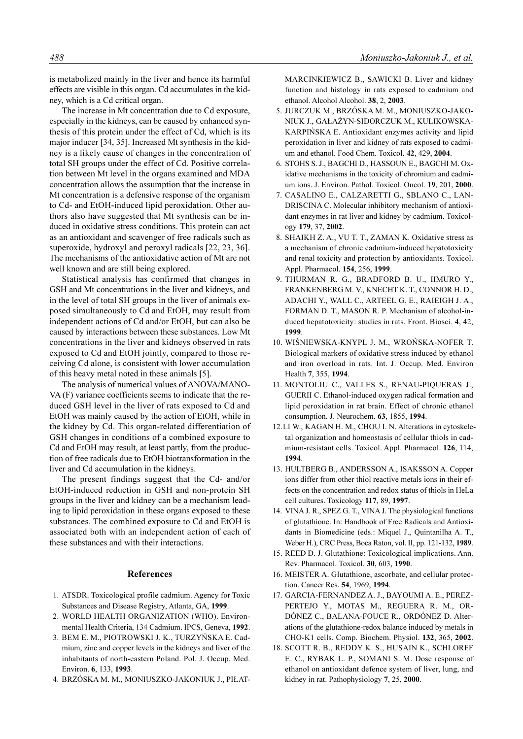is metabolized mainly in the liver and hence its harmful effects are visible in this organ. Cd accumulates in the kidney, which is a Cd critical organ.

The increase in Mt concentration due to Cd exposure, especially in the kidneys, can be caused by enhanced synthesis of this protein under the effect of Cd, which is its major inducer [34, 35]. Increased Mt synthesis in the kidney is a likely cause of changes in the concentration of total SH groups under the effect of Cd. Positive correlation between Mt level in the organs examined and MDA concentration allows the assumption that the increase in Mt concentration is a defensive response of the organism to Cd- and EtOH-induced lipid peroxidation. Other authors also have suggested that Mt synthesis can be induced in oxidative stress conditions. This protein can act as an antioxidant and scavenger of free radicals such as superoxide, hydroxyl and peroxyl radicals [22, 23, 36]. The mechanisms of the antioxidative action of Mt are not well known and are still being explored.

Statistical analysis has confirmed that changes in GSH and Mt concentrations in the liver and kidneys, and in the level of total SH groups in the liver of animals exposed simultaneously to Cd and EtOH, may result from independent actions of Cd and/or EtOH, but can also be caused by interactions between these substances. Low Mt concentrations in the liver and kidneys observed in rats exposed to Cd and EtOH jointly, compared to those receiving Cd alone, is consistent with lower accumulation of this heavy metal noted in these animals [5].

The analysis of numerical values of ANOVA/MANO-VA (F) variance coefficients seems to indicate that the reduced GSH level in the liver of rats exposed to Cd and EtOH was mainly caused by the action of EtOH, while in the kidney by Cd. This organ-related differentiation of GSH changes in conditions of a combined exposure to Cd and EtOH may result, at least partly, from the production of free radicals due to EtOH biotransformation in the liver and Cd accumulation in the kidneys.

The present findings suggest that the Cd- and/or EtOH-induced reduction in GSH and non-protein SH groups in the liver and kidney can be a mechanism leading to lipid peroxidation in these organs exposed to these substances. The combined exposure to Cd and EtOH is associated both with an independent action of each of these substances and with their interactions.

## References

- 1. ATSDR. Toxicological profile cadmium. Agency for Toxic Substances and Disease Registry, Atlanta, GA, 1999.
- 2. WORLD HEALTH ORGANIZATION (WHO). Environmental Health Criteria, 134 Cadmium. IPCS, Geneva, 1992.
- 3. BEM E. M., PIOTROWSKI J. K., TURZYÑSKA E. Cadmium, zinc and copper levels in the kidneys and liver of the inhabitants of north-eastern Poland. Pol. J. Occup. Med. Environ. 6, 133, 1993.
- 4. BRZÓSKA M. M., MONIUSZKO-JAKONIUK J., PI£AT-

MARCINKIEWICZ B., SAWICKI B. Liver and kidney function and histology in rats exposed to cadmium and ethanol. Alcohol Alcohol. 38, 2, 2003.

- 5. JURCZUK M., BRZÓSKA M. M., MONIUSZKO-JAKO-NIUK J., GAŁAŻYN-SIDORCZUK M., KULIKOWSKA-KARPIÑSKA E. Antioxidant enzymes activity and lipid peroxidation in liver and kidney of rats exposed to cadmium and ethanol. Food Chem. Toxicol. 42, 429, 2004.
- 6. STOHS S. J., BAGCHI D., HASSOUN E., BAGCHI M. Oxidative mechanisms in the toxicity of chromium and cadmium ions. J. Environ. Pathol. Toxicol. Oncol. 19, 201, 2000.
- 7. CASALINO E., CALZARETTI G., SBLANO C., LAN-DRISCINA C. Molecular inhibitory mechanism of antioxidant enzymes in rat liver and kidney by cadmium. Toxicology 179, 37, 2002.
- 8. SHAIKH Z. A., VU T. T., ZAMAN K. Oxidative stress as a mechanism of chronic cadmium-induced hepatotoxicity and renal toxicity and protection by antioxidants. Toxicol. Appl. Pharmacol. 154, 256, 1999.
- 9. THURMAN R. G., BRADFORD B. U., IIMURO Y., FRANKENBERG M. V., KNECHT K. T., CONNOR H. D., ADACHI Y., WALL C., ARTEEL G. E., RAIEIGH J. A., FORMAN D. T., MASON R. P. Mechanism of alcohol-induced hepatotoxicity: studies in rats. Front. Biosci. 4, 42, 1999.
- 10. WIŚNIEWSKA-KNYPL J. M., WROŃSKA-NOFER T. Biological markers of oxidative stress induced by ethanol and iron overload in rats. Int. J. Occup. Med. Environ Health 7, 355, 1994.
- 11. MONTOLIU C., VALLES S., RENAU-PIQUERAS J., GUERII C. Ethanol-induced oxygen radical formation and lipid peroxidation in rat brain. Effect of chronic ethanol consumption. J. Neurochem. 63, 1855, 1994.
- 12.LI W., KAGAN H. M., CHOU I. N. Alterations in cytoskeletal organization and homeostasis of cellular thiols in cadmium-resistant cells. Toxicol. Appl. Pharmacol. 126, 114, 1994.
- 13. HULTBERG B., ANDERSSON A., ISAKSSON A. Copper ions differ from other thiol reactive metals ions in their effects on the concentration and redox status of thiols in HeLa cell cultures. Toxicology 117, 89, 1997.
- 14. VINA J. R., SPEZ G. T., VINA J. The physiological functions of glutathione. In: Handbook of Free Radicals and Antioxidants in Biomedicine (eds.: Miquel J., Quintanilha A. T., Weber H.), CRC Press, Boca Raton, vol. II, pp. 121-132, 1989.
- 15. REED D. J. Glutathione: Toxicological implications. Ann. Rev. Pharmacol. Toxicol. 30, 603, 1990.
- 16. MEISTER A. Glutathione, ascorbate, and cellular protection. Cancer Res. 54, 1969, 1994.
- 17. GARCIA-FERNANDEZ A. J., BAYOUMI A. E., PEREZ-PERTEJO Y., MOTAS M., REGUERA R. M., OR-DÓNEZ C., BALANA-FOUCE R., ORDÓNEZ D. Alterations of the glutathione-redox balance induced by metals in CHO-K1 cells. Comp. Biochem. Physiol. 132, 365, 2002.
- 18. SCOTT R. B., REDDY K. S., HUSAIN K., SCHLORFF E. C., RYBAK L. P., SOMANI S. M. Dose response of ethanol on antioxidant defence system of liver, lung, and kidney in rat. Pathophysiology 7, 25, 2000.